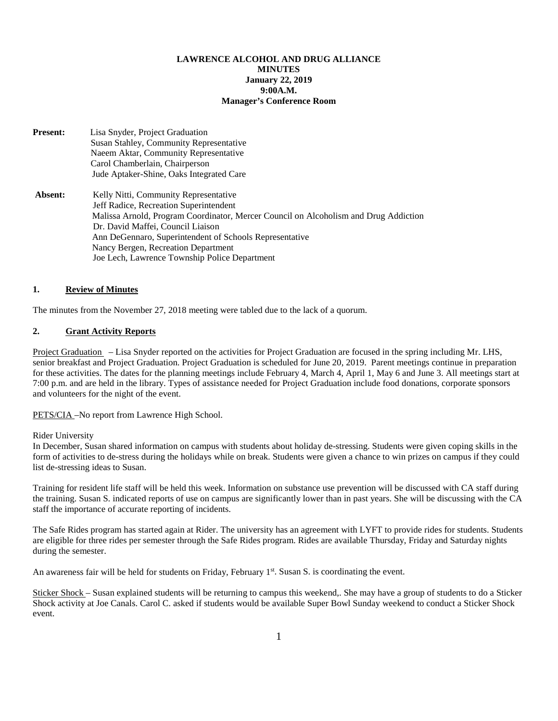## **LAWRENCE ALCOHOL AND DRUG ALLIANCE MINUTES January 22, 2019 9:00A.M. Manager's Conference Room**

**Present:** Lisa Snyder, Project Graduation Susan Stahley, Community Representative Naeem Aktar, Community Representative Carol Chamberlain, Chairperson Jude Aptaker-Shine, Oaks Integrated Care Absent: Kelly Nitti, Community Representative Jeff Radice, Recreation Superintendent Malissa Arnold, Program Coordinator, Mercer Council on Alcoholism and Drug Addiction Dr. David Maffei, Council Liaison Ann DeGennaro, Superintendent of Schools Representative Nancy Bergen, Recreation Department Joe Lech, Lawrence Township Police Department

### **1. Review of Minutes**

The minutes from the November 27, 2018 meeting were tabled due to the lack of a quorum.

### **2. Grant Activity Reports**

Project Graduation – Lisa Snyder reported on the activities for Project Graduation are focused in the spring including Mr. LHS, senior breakfast and Project Graduation. Project Graduation is scheduled for June 20, 2019. Parent meetings continue in preparation for these activities. The dates for the planning meetings include February 4, March 4, April 1, May 6 and June 3. All meetings start at 7:00 p.m. and are held in the library. Types of assistance needed for Project Graduation include food donations, corporate sponsors and volunteers for the night of the event.

PETS/CIA -No report from Lawrence High School.

#### Rider University

In December, Susan shared information on campus with students about holiday de-stressing. Students were given coping skills in the form of activities to de-stress during the holidays while on break. Students were given a chance to win prizes on campus if they could list de-stressing ideas to Susan.

Training for resident life staff will be held this week. Information on substance use prevention will be discussed with CA staff during the training. Susan S. indicated reports of use on campus are significantly lower than in past years. She will be discussing with the CA staff the importance of accurate reporting of incidents.

The Safe Rides program has started again at Rider. The university has an agreement with LYFT to provide rides for students. Students are eligible for three rides per semester through the Safe Rides program. Rides are available Thursday, Friday and Saturday nights during the semester.

An awareness fair will be held for students on Friday, February  $1<sup>st</sup>$ . Susan S. is coordinating the event.

Sticker Shock – Susan explained students will be returning to campus this weekend,. She may have a group of students to do a Sticker Shock activity at Joe Canals. Carol C. asked if students would be available Super Bowl Sunday weekend to conduct a Sticker Shock event.